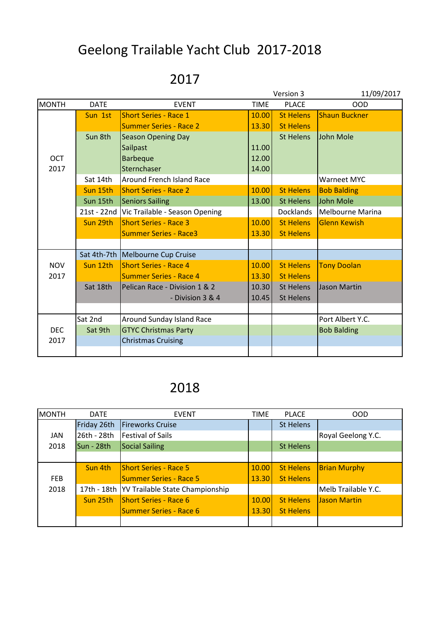## Geelong Trailable Yacht Club 2017-2018

## 2017

|              |             |                                |             | Version 3        | 11/09/2017           |
|--------------|-------------|--------------------------------|-------------|------------------|----------------------|
| <b>MONTH</b> | <b>DATE</b> | <b>EVENT</b>                   | <b>TIME</b> | <b>PLACE</b>     | <b>OOD</b>           |
|              | Sun 1st     | <b>Short Series - Race 1</b>   | 10.00       | <b>St Helens</b> | <b>Shaun Buckner</b> |
|              |             | <b>Summer Series - Race 2</b>  | 13.30       | <b>St Helens</b> |                      |
|              | Sun 8th     | <b>Season Opening Day</b>      |             | <b>St Helens</b> | John Mole            |
|              |             | Sailpast                       | 11.00       |                  |                      |
| <b>OCT</b>   |             | <b>Barbeque</b>                | 12.00       |                  |                      |
| 2017         |             | Sternchaser                    | 14.00       |                  |                      |
|              | Sat 14th    | Around French Island Race      |             |                  | <b>Warneet MYC</b>   |
|              | Sun 15th    | <b>Short Series - Race 2</b>   | 10.00       | <b>St Helens</b> | <b>Bob Balding</b>   |
|              | Sun 15th    | <b>Seniors Sailing</b>         | 13.00       | <b>St Helens</b> | John Mole            |
|              | 21st - 22nd | Vic Trailable - Season Opening |             | <b>Docklands</b> | Melbourne Marina     |
|              | Sun 29th    | <b>Short Series - Race 3</b>   | 10.00       | <b>St Helens</b> | <b>Glenn Kewish</b>  |
|              |             | <b>Summer Series - Race3</b>   | 13.30       | <b>St Helens</b> |                      |
|              |             |                                |             |                  |                      |
|              | Sat 4th-7th | Melbourne Cup Cruise           |             |                  |                      |
| <b>NOV</b>   | Sun 12th    | <b>Short Series - Race 4</b>   | 10.00       | <b>St Helens</b> | <b>Tony Doolan</b>   |
| 2017         |             | <b>Summer Series - Race 4</b>  | 13.30       | <b>St Helens</b> |                      |
|              | Sat 18th    | Pelican Race - Division 1 & 2  | 10.30       | St Helens        | Jason Martin         |
|              |             | - Division 3 & 4               | 10.45       | <b>St Helens</b> |                      |
|              |             |                                |             |                  |                      |
|              | Sat 2nd     | Around Sunday Island Race      |             |                  | Port Albert Y.C.     |
| <b>DEC</b>   | Sat 9th     | <b>GTYC Christmas Party</b>    |             |                  | <b>Bob Balding</b>   |
| 2017         |             | <b>Christmas Cruising</b>      |             |                  |                      |
|              |             |                                |             |                  |                      |

## 2018

| <b>MONTH</b> | <b>DATE</b> | <b>EVENT</b>                                  | <b>TIME</b> | <b>PLACE</b>     | <b>OOD</b>          |
|--------------|-------------|-----------------------------------------------|-------------|------------------|---------------------|
|              | Friday 26th | <b>Fireworks Cruise</b>                       |             | <b>St Helens</b> |                     |
| JAN          | 26th - 28th | <b>Festival of Sails</b>                      |             |                  | Royal Geelong Y.C.  |
| 2018         | Sun - 28th  | <b>Social Sailing</b>                         |             | <b>St Helens</b> |                     |
|              |             |                                               |             |                  |                     |
|              | Sun 4th     | <b>Short Series - Race 5</b>                  | 10.00       | <b>St Helens</b> | <b>Brian Murphy</b> |
| <b>FEB</b>   |             | <b>Summer Series - Race 5</b>                 | 13.30       | <b>St Helens</b> |                     |
| 2018         |             | 17th - 18th   YV Trailable State Championship |             |                  | Melb Trailable Y.C. |
|              | Sun 25th    | <b>Short Series - Race 6</b>                  | 10.00       | <b>St Helens</b> | Jason Martin        |
|              |             | <b>Summer Series - Race 6</b>                 | 13.30       | <b>St Helens</b> |                     |
|              |             |                                               |             |                  |                     |